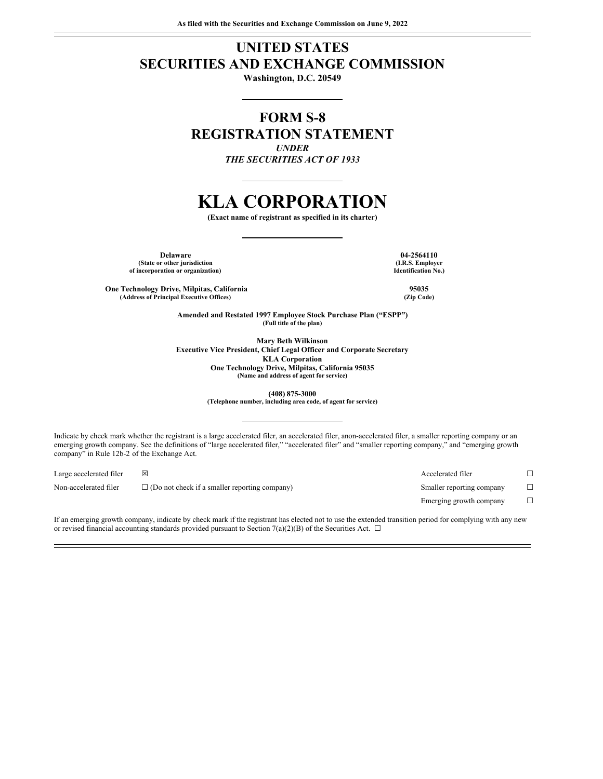# **UNITED STATES SECURITIES AND EXCHANGE COMMISSION**

**Washington, D.C. 20549**

# **FORM S-8 REGISTRATION STATEMENT** *UNDER*

*THE SECURITIES ACT OF 1933*

# **KLA CORPORATION**

**(Exact name of registrant as specified in its charter)**

**Delaware 04-2564110 (State or other jurisdiction of incorporation or organization)**

**(I.R.S. Employer Identification No.)**

**One Technology Drive, Milpitas, California 95035 (Address of Principal Executive Offices) (Zip Code)**

**Amended and Restated 1997 Employee Stock Purchase Plan ("ESPP") (Full title of the plan)**

**Mary Beth Wilkinson Executive Vice President, Chief Legal Officer and Corporate Secretary KLA Corporation One Technology Drive, Milpitas, California 95035 (Name and address of agent for service)**

**(408) 875-3000**

**(Telephone number, including area code, of agent for service)**

Indicate by check mark whether the registrant is a large accelerated filer, an accelerated filer, anon-accelerated filer, a smaller reporting company or an emerging growth company. See the definitions of "large accelerated filer," "accelerated filer" and "smaller reporting company," and "emerging growth company" in Rule 12b-2 of the Exchange Act.

| Large accelerated filer | ⊠                                                    | Accelerated filer         |  |
|-------------------------|------------------------------------------------------|---------------------------|--|
| Non-accelerated filer   | $\Box$ (Do not check if a smaller reporting company) | Smaller reporting company |  |
|                         |                                                      | Emerging growth company   |  |

If an emerging growth company, indicate by check mark if the registrant has elected not to use the extended transition period for complying with any new or revised financial accounting standards provided pursuant to Section 7(a)(2)(B) of the Securities Act.  $\Box$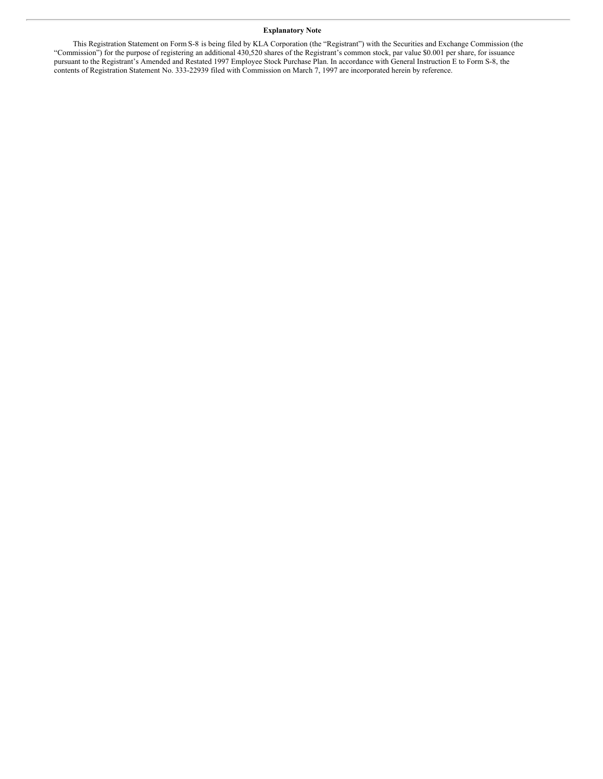# **Explanatory Note**

This Registration Statement on Form S-8 is being filed by KLA Corporation (the "Registrant") with the Securities and Exchange Commission (the "Commission") for the purpose of registering an additional 430,520 shares of the Registrant's common stock, par value \$0.001 per share, for issuance pursuant to the Registrant's Amended and Restated 1997 Employee Stock Purchase Plan. In accordance with General Instruction E to Form S-8, the contents of Registration Statement No. 333-22939 filed with Commission on March 7, 1997 are incorporated herein by reference.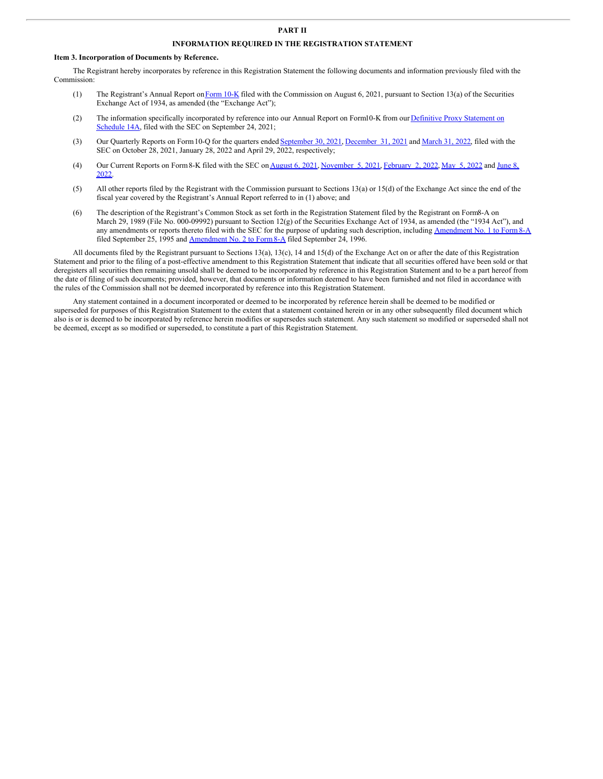# **PART II**

# **INFORMATION REQUIRED IN THE REGISTRATION STATEMENT**

#### **Item 3. Incorporation of Documents by Reference.**

The Registrant hereby incorporates by reference in this Registration Statement the following documents and information previously filed with the Commission:

- (1) The Registrant's Annual Report on [Form](http://www.sec.gov/ix?doc=/Archives/edgar/data/319201/000031920121000029/klac-20210630.htm)  $10$ -K filed with the Commission on August 6, 2021, pursuant to Section 13(a) of the Securities Exchange Act of 1934, as amended (the "Exchange Act");
- (2) The information specifically [incorporated](http://www.sec.gov/Archives/edgar/data/319201/000110465921119286/tm2128061d1_def14a.htm) by reference into our Annual Report on Form10-K from our Definitive Proxy Statement on Schedule 14A, filed with the SEC on September 24, 2021;
- (3) Our Quarterly Reports on Form 10-Q for the quarters ended [September](http://www.sec.gov/ix?doc=/Archives/edgar/data/319201/000031920121000037/klac-20210930.htm) 30, 2021, [December](http://www.sec.gov/ix?doc=/Archives/edgar/data/319201/000031920122000006/klac-20211231.htm) 31, 2021 and [March](http://www.sec.gov/ix?doc=/Archives/edgar/data/319201/000031920122000012/klac-20220331.htm) 31, 2022, filed with the SEC on October 28, 2021, January 28, 2022 and April 29, 2022, respectively;
- (4) Our Current Reports on Form 8-K filed with the SEC on [August](http://www.sec.gov/ix?doc=/Archives/edgar/data/319201/000162828021016091/klac-20210805.htm) 6, 2021, [November](http://www.sec.gov/ix?doc=/Archives/edgar/data/319201/000119312522170195/d306474d8k.htm) 5, 2021, [February](http://www.sec.gov/ix?doc=/Archives/edgar/data/319201/000162828022001687/klac-20220202.htm) 2, [2022](http://www.sec.gov/ix?doc=/Archives/edgar/data/319201/000119312522142326/d352938d8k.htm), May 5, 2022 and June 8, 2022.
- (5) All other reports filed by the Registrant with the Commission pursuant to Sections 13(a) or 15(d) of the Exchange Act since the end of the fiscal year covered by the Registrant's Annual Report referred to in (1) above; and
- (6) The description of the Registrant's Common Stock as set forth in the Registration Statement filed by the Registrant on Form8-A on March 29, 1989 (File No. 000-09992) pursuant to Section 12(g) of the Securities Exchange Act of 1934, as amended (the "1934 Act"), and any amendments or reports thereto filed with the SEC for the purpose of updating such description, including [Amendment](http://www.sec.gov/Archives/edgar/data/319201/0000891618-95-000563.txt) No. 1 to Form 8-A filed September 25, 1995 and **[Amendment](http://www.sec.gov/Archives/edgar/data/319201/0000891618-96-002117.txt) No. 2 to Form 8-A** filed September 24, 1996.

All documents filed by the Registrant pursuant to Sections 13(a), 13(c), 14 and 15(d) of the Exchange Act on or after the date of this Registration Statement and prior to the filing of a post-effective amendment to this Registration Statement that indicate that all securities offered have been sold or that deregisters all securities then remaining unsold shall be deemed to be incorporated by reference in this Registration Statement and to be a part hereof from the date of filing of such documents; provided, however, that documents or information deemed to have been furnished and not filed in accordance with the rules of the Commission shall not be deemed incorporated by reference into this Registration Statement.

Any statement contained in a document incorporated or deemed to be incorporated by reference herein shall be deemed to be modified or superseded for purposes of this Registration Statement to the extent that a statement contained herein or in any other subsequently filed document which also is or is deemed to be incorporated by reference herein modifies or supersedes such statement. Any such statement so modified or superseded shall not be deemed, except as so modified or superseded, to constitute a part of this Registration Statement.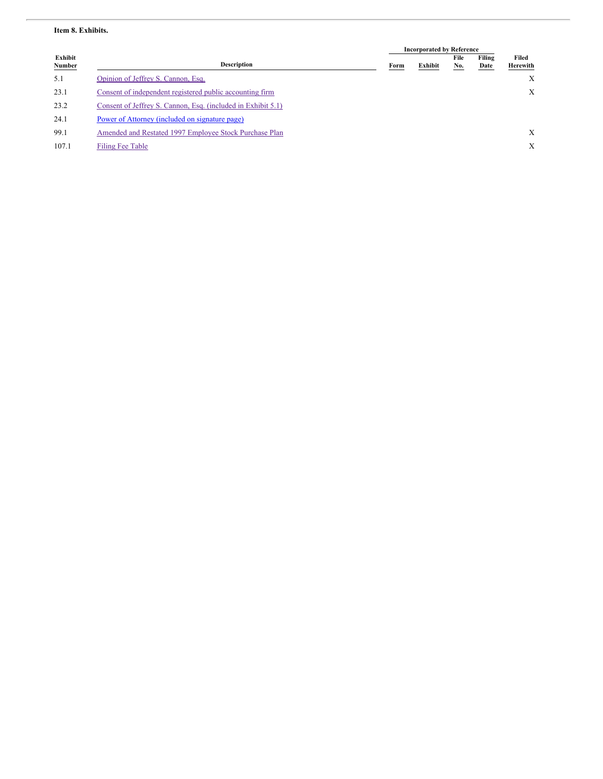# **Item 8. Exhibits.**

|                                 |                                                              | <b>Incorporated by Reference</b> |         |             |                |                   |
|---------------------------------|--------------------------------------------------------------|----------------------------------|---------|-------------|----------------|-------------------|
| <b>Exhibit</b><br><b>Number</b> | <b>Description</b>                                           | Form                             | Exhibit | File<br>No. | Filing<br>Date | Filed<br>Herewith |
| 5.1                             | Opinion of Jeffrey S. Cannon, Esq.                           |                                  |         |             |                | X                 |
| 23.1                            | Consent of independent registered public accounting firm     |                                  |         |             |                | X                 |
| 23.2                            | Consent of Jeffrey S. Cannon, Esq. (included in Exhibit 5.1) |                                  |         |             |                |                   |
| 24.1                            | Power of Attorney (included on signature page)               |                                  |         |             |                |                   |
| 99.1                            | Amended and Restated 1997 Employee Stock Purchase Plan       |                                  |         |             |                | X                 |
| 107.1                           | Filing Fee Table                                             |                                  |         |             |                | X                 |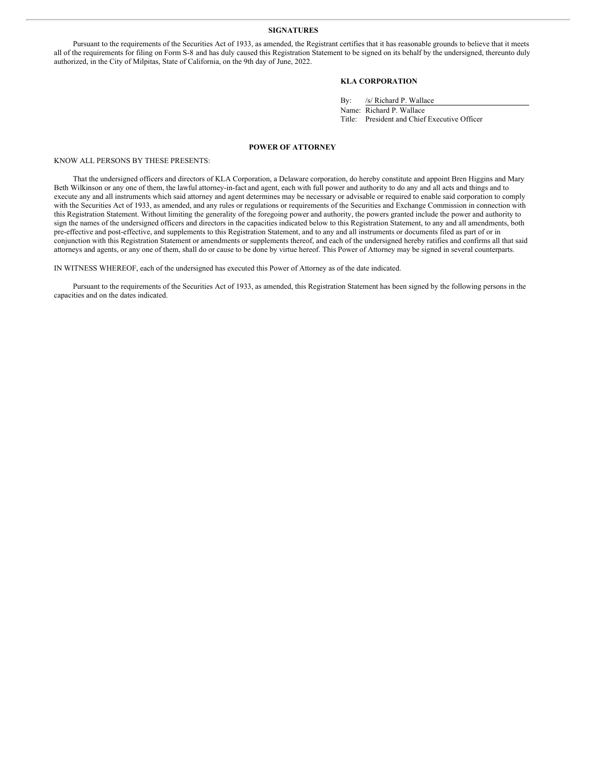#### <span id="page-4-0"></span>**SIGNATURES**

Pursuant to the requirements of the Securities Act of 1933, as amended, the Registrant certifies that it has reasonable grounds to believe that it meets all of the requirements for filing on Form S-8 and has duly caused this Registration Statement to be signed on its behalf by the undersigned, thereunto duly authorized, in the City of Milpitas, State of California, on the 9th day of June, 2022.

# **KLA CORPORATION**

By: /s/ Richard P. Wallace

Name: Richard P. Wallace Title: President and Chief Executive Officer

#### **POWER OF ATTORNEY**

KNOW ALL PERSONS BY THESE PRESENTS:

That the undersigned officers and directors of KLA Corporation, a Delaware corporation, do hereby constitute and appoint Bren Higgins and Mary Beth Wilkinson or any one of them, the lawful attorney-in-fact and agent, each with full power and authority to do any and all acts and things and to execute any and all instruments which said attorney and agent determines may be necessary or advisable or required to enable said corporation to comply with the Securities Act of 1933, as amended, and any rules or regulations or requirements of the Securities and Exchange Commission in connection with this Registration Statement. Without limiting the generality of the foregoing power and authority, the powers granted include the power and authority to sign the names of the undersigned officers and directors in the capacities indicated below to this Registration Statement, to any and all amendments, both pre-effective and post-effective, and supplements to this Registration Statement, and to any and all instruments or documents filed as part of or in conjunction with this Registration Statement or amendments or supplements thereof, and each of the undersigned hereby ratifies and confirms all that said attorneys and agents, or any one of them, shall do or cause to be done by virtue hereof. This Power of Attorney may be signed in several counterparts.

IN WITNESS WHEREOF, each of the undersigned has executed this Power of Attorney as of the date indicated.

Pursuant to the requirements of the Securities Act of 1933, as amended, this Registration Statement has been signed by the following persons in the capacities and on the dates indicated.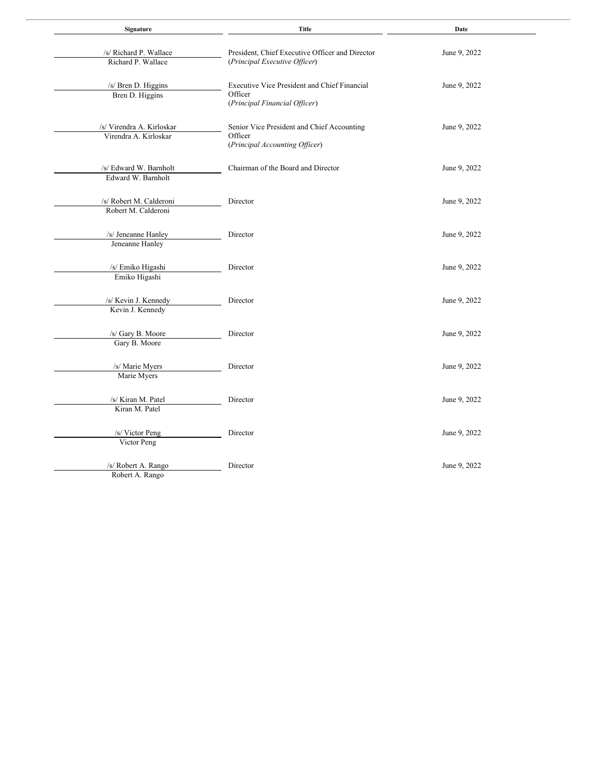| Signature                                          | <b>Title</b>                                                                             | Date         |  |  |
|----------------------------------------------------|------------------------------------------------------------------------------------------|--------------|--|--|
| /s/ Richard P. Wallace<br>Richard P. Wallace       | President, Chief Executive Officer and Director<br>(Principal Executive Officer)         | June 9, 2022 |  |  |
| /s/ Bren D. Higgins<br>Bren D. Higgins             | Executive Vice President and Chief Financial<br>Officer<br>(Principal Financial Officer) | June 9, 2022 |  |  |
| /s/ Virendra A. Kirloskar<br>Virendra A. Kirloskar | Senior Vice President and Chief Accounting<br>Officer<br>(Principal Accounting Officer)  | June 9, 2022 |  |  |
| /s/ Edward W. Barnholt<br>Edward W. Barnholt       | Chairman of the Board and Director                                                       | June 9, 2022 |  |  |
| /s/ Robert M. Calderoni<br>Robert M. Calderoni     | Director                                                                                 | June 9, 2022 |  |  |
| /s/ Jeneanne Hanley<br>Jeneanne Hanley             | Director                                                                                 | June 9, 2022 |  |  |
| /s/ Emiko Higashi<br>Emiko Higashi                 | Director                                                                                 | June 9, 2022 |  |  |
| /s/ Kevin J. Kennedy<br>Kevin J. Kennedy           | Director                                                                                 | June 9, 2022 |  |  |
| /s/ Gary B. Moore<br>Gary B. Moore                 | Director                                                                                 | June 9, 2022 |  |  |
| /s/ Marie Myers<br>Marie Myers                     | Director                                                                                 | June 9, 2022 |  |  |
| /s/ Kiran M. Patel<br>Kiran M. Patel               | Director                                                                                 | June 9, 2022 |  |  |
| /s/ Victor Peng<br>Victor Peng                     | Director                                                                                 | June 9, 2022 |  |  |
| /s/ Robert A. Rango<br>Robert A. Rango             | Director                                                                                 | June 9, 2022 |  |  |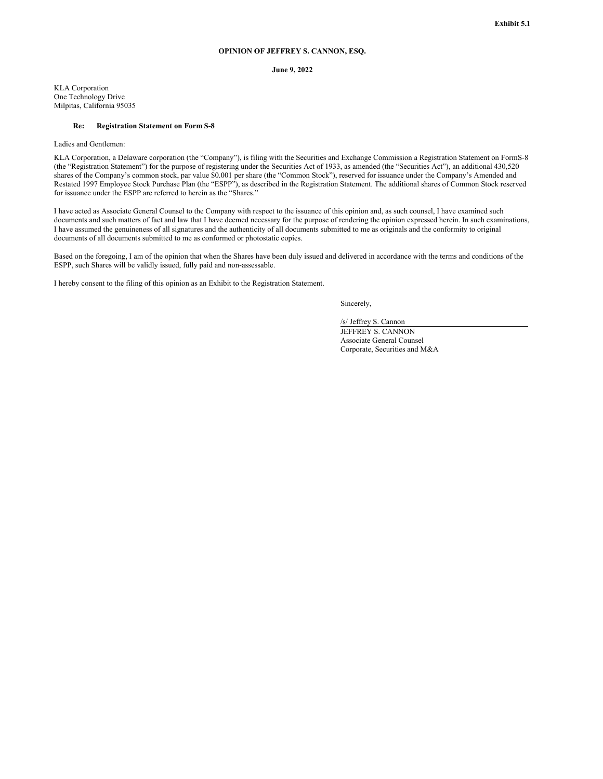# **OPINION OF JEFFREY S. CANNON, ESQ.**

#### **June 9, 2022**

<span id="page-6-0"></span>KLA Corporation One Technology Drive Milpitas, California 95035

#### **Re: Registration Statement on Form S-8**

Ladies and Gentlemen:

KLA Corporation, a Delaware corporation (the "Company"), is filing with the Securities and Exchange Commission a Registration Statement on FormS-8 (the "Registration Statement") for the purpose of registering under the Securities Act of 1933, as amended (the "Securities Act"), an additional 430,520 shares of the Company's common stock, par value \$0.001 per share (the "Common Stock"), reserved for issuance under the Company's Amended and Restated 1997 Employee Stock Purchase Plan (the "ESPP"), as described in the Registration Statement. The additional shares of Common Stock reserved for issuance under the ESPP are referred to herein as the "Shares."

I have acted as Associate General Counsel to the Company with respect to the issuance of this opinion and, as such counsel, I have examined such documents and such matters of fact and law that I have deemed necessary for the purpose of rendering the opinion expressed herein. In such examinations, I have assumed the genuineness of all signatures and the authenticity of all documents submitted to me as originals and the conformity to original documents of all documents submitted to me as conformed or photostatic copies.

Based on the foregoing, I am of the opinion that when the Shares have been duly issued and delivered in accordance with the terms and conditions of the ESPP, such Shares will be validly issued, fully paid and non-assessable.

I hereby consent to the filing of this opinion as an Exhibit to the Registration Statement.

Sincerely,

/s/ Jeffrey S. Cannon JEFFREY S. CANNON Associate General Counsel Corporate, Securities and M&A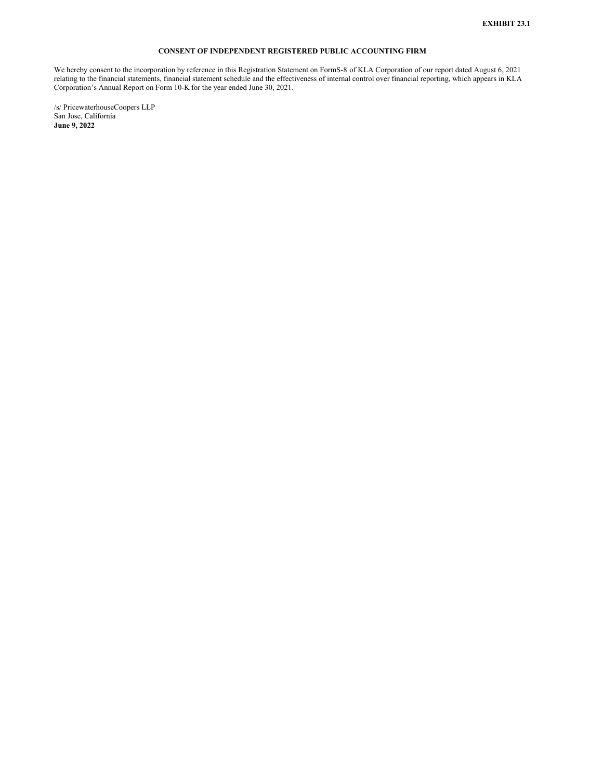# **CONSENT OF INDEPENDENT REGISTERED PUBLIC ACCOUNTING FIRM**

<span id="page-7-0"></span>We hereby consent to the incorporation by reference in this Registration Statement on FormS-8 of KLA Corporation of our report dated August 6, 2021 relating to the financial statements, financial statement schedule and the effectiveness of internal control over financial reporting, which appears in KLA Corporation's Annual Report on Form 10-K for the year ended June 30, 2021.

/s/ PricewaterhouseCoopers LLP San Jose, California **June 9, 2022**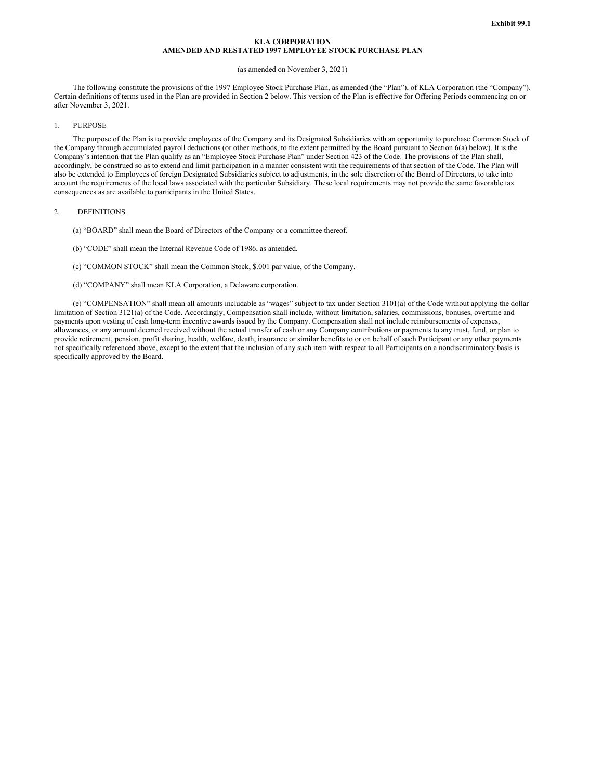# **KLA CORPORATION AMENDED AND RESTATED 1997 EMPLOYEE STOCK PURCHASE PLAN**

# (as amended on November 3, 2021)

The following constitute the provisions of the 1997 Employee Stock Purchase Plan, as amended (the "Plan"), of KLA Corporation (the "Company"). Certain definitions of terms used in the Plan are provided in Section 2 below. This version of the Plan is effective for Offering Periods commencing on or after November 3, 2021.

#### 1. PURPOSE

The purpose of the Plan is to provide employees of the Company and its Designated Subsidiaries with an opportunity to purchase Common Stock of the Company through accumulated payroll deductions (or other methods, to the extent permitted by the Board pursuant to Section 6(a) below). It is the Company's intention that the Plan qualify as an "Employee Stock Purchase Plan" under Section 423 of the Code. The provisions of the Plan shall, accordingly, be construed so as to extend and limit participation in a manner consistent with the requirements of that section of the Code. The Plan will also be extended to Employees of foreign Designated Subsidiaries subject to adjustments, in the sole discretion of the Board of Directors, to take into account the requirements of the local laws associated with the particular Subsidiary. These local requirements may not provide the same favorable tax consequences as are available to participants in the United States.

#### 2. DEFINITIONS

- (a) "BOARD" shall mean the Board of Directors of the Company or a committee thereof.
- (b) "CODE" shall mean the Internal Revenue Code of 1986, as amended.
- (c) "COMMON STOCK" shall mean the Common Stock, \$.001 par value, of the Company.
- (d) "COMPANY" shall mean KLA Corporation, a Delaware corporation.

(e) "COMPENSATION" shall mean all amounts includable as "wages" subject to tax under Section 3101(a) of the Code without applying the dollar limitation of Section 3121(a) of the Code. Accordingly, Compensation shall include, without limitation, salaries, commissions, bonuses, overtime and payments upon vesting of cash long-term incentive awards issued by the Company. Compensation shall not include reimbursements of expenses, allowances, or any amount deemed received without the actual transfer of cash or any Company contributions or payments to any trust, fund, or plan to provide retirement, pension, profit sharing, health, welfare, death, insurance or similar benefits to or on behalf of such Participant or any other payments not specifically referenced above, except to the extent that the inclusion of any such item with respect to all Participants on a nondiscriminatory basis is specifically approved by the Board.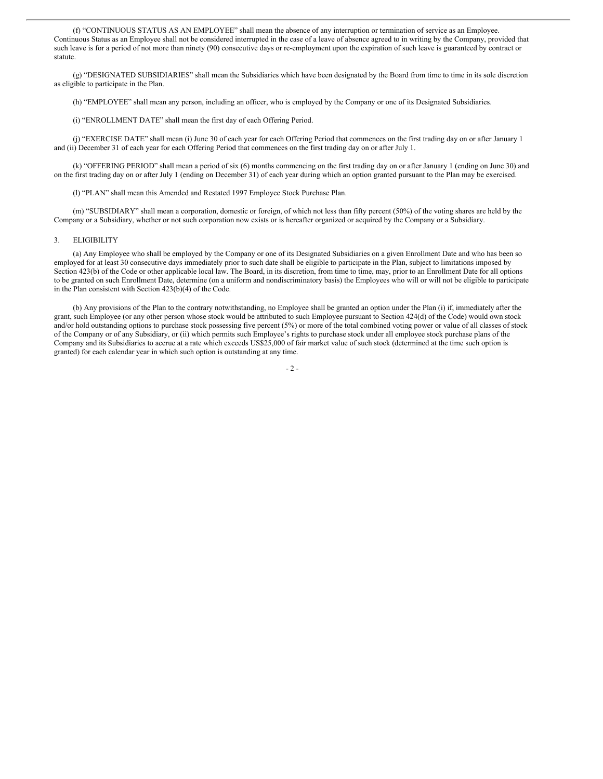(f) "CONTINUOUS STATUS AS AN EMPLOYEE" shall mean the absence of any interruption or termination of service as an Employee. Continuous Status as an Employee shall not be considered interrupted in the case of a leave of absence agreed to in writing by the Company, provided that such leave is for a period of not more than ninety (90) consecutive days or re-employment upon the expiration of such leave is guaranteed by contract or statute.

(g) "DESIGNATED SUBSIDIARIES" shall mean the Subsidiaries which have been designated by the Board from time to time in its sole discretion as eligible to participate in the Plan.

(h) "EMPLOYEE" shall mean any person, including an officer, who is employed by the Company or one of its Designated Subsidiaries.

(i) "ENROLLMENT DATE" shall mean the first day of each Offering Period.

(j) "EXERCISE DATE" shall mean (i) June 30 of each year for each Offering Period that commences on the first trading day on or after January 1 and (ii) December 31 of each year for each Offering Period that commences on the first trading day on or after July 1.

(k) "OFFERING PERIOD" shall mean a period of six (6) months commencing on the first trading day on or after January 1 (ending on June 30) and on the first trading day on or after July 1 (ending on December 31) of each year during which an option granted pursuant to the Plan may be exercised.

(l) "PLAN" shall mean this Amended and Restated 1997 Employee Stock Purchase Plan.

(m) "SUBSIDIARY" shall mean a corporation, domestic or foreign, of which not less than fifty percent (50%) of the voting shares are held by the Company or a Subsidiary, whether or not such corporation now exists or is hereafter organized or acquired by the Company or a Subsidiary.

#### 3. ELIGIBILITY

(a) Any Employee who shall be employed by the Company or one of its Designated Subsidiaries on a given Enrollment Date and who has been so employed for at least 30 consecutive days immediately prior to such date shall be eligible to participate in the Plan, subject to limitations imposed by Section 423(b) of the Code or other applicable local law. The Board, in its discretion, from time to time, may, prior to an Enrollment Date for all options to be granted on such Enrollment Date, determine (on a uniform and nondiscriminatory basis) the Employees who will or will not be eligible to participate in the Plan consistent with Section 423(b)(4) of the Code.

(b) Any provisions of the Plan to the contrary notwithstanding, no Employee shall be granted an option under the Plan (i) if, immediately after the grant, such Employee (or any other person whose stock would be attributed to such Employee pursuant to Section 424(d) of the Code) would own stock and/or hold outstanding options to purchase stock possessing five percent (5%) or more of the total combined voting power or value of all classes of stock of the Company or of any Subsidiary, or (ii) which permits such Employee's rights to purchase stock under all employee stock purchase plans of the Company and its Subsidiaries to accrue at a rate which exceeds US\$25,000 of fair market value of such stock (determined at the time such option is granted) for each calendar year in which such option is outstanding at any time.

- 2 -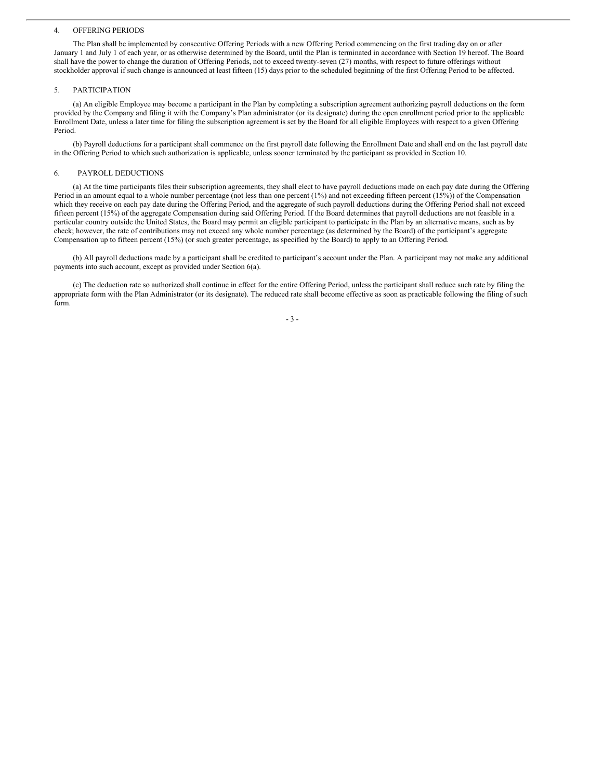#### 4. OFFERING PERIODS

The Plan shall be implemented by consecutive Offering Periods with a new Offering Period commencing on the first trading day on or after January 1 and July 1 of each year, or as otherwise determined by the Board, until the Plan is terminated in accordance with Section 19 hereof. The Board shall have the power to change the duration of Offering Periods, not to exceed twenty-seven (27) months, with respect to future offerings without stockholder approval if such change is announced at least fifteen (15) days prior to the scheduled beginning of the first Offering Period to be affected.

#### 5. PARTICIPATION

(a) An eligible Employee may become a participant in the Plan by completing a subscription agreement authorizing payroll deductions on the form provided by the Company and filing it with the Company's Plan administrator (or its designate) during the open enrollment period prior to the applicable Enrollment Date, unless a later time for filing the subscription agreement is set by the Board for all eligible Employees with respect to a given Offering Period.

(b) Payroll deductions for a participant shall commence on the first payroll date following the Enrollment Date and shall end on the last payroll date in the Offering Period to which such authorization is applicable, unless sooner terminated by the participant as provided in Section 10.

### 6. PAYROLL DEDUCTIONS

(a) At the time participants files their subscription agreements, they shall elect to have payroll deductions made on each pay date during the Offering Period in an amount equal to a whole number percentage (not less than one percent (1%) and not exceeding fifteen percent (15%)) of the Compensation which they receive on each pay date during the Offering Period, and the aggregate of such payroll deductions during the Offering Period shall not exceed fifteen percent (15%) of the aggregate Compensation during said Offering Period. If the Board determines that payroll deductions are not feasible in a particular country outside the United States, the Board may permit an eligible participant to participate in the Plan by an alternative means, such as by check; however, the rate of contributions may not exceed any whole number percentage (as determined by the Board) of the participant's aggregate Compensation up to fifteen percent (15%) (or such greater percentage, as specified by the Board) to apply to an Offering Period.

(b) All payroll deductions made by a participant shall be credited to participant's account under the Plan. A participant may not make any additional payments into such account, except as provided under Section 6(a).

(c) The deduction rate so authorized shall continue in effect for the entire Offering Period, unless the participant shall reduce such rate by filing the appropriate form with the Plan Administrator (or its designate). The reduced rate shall become effective as soon as practicable following the filing of such form.

- 3 -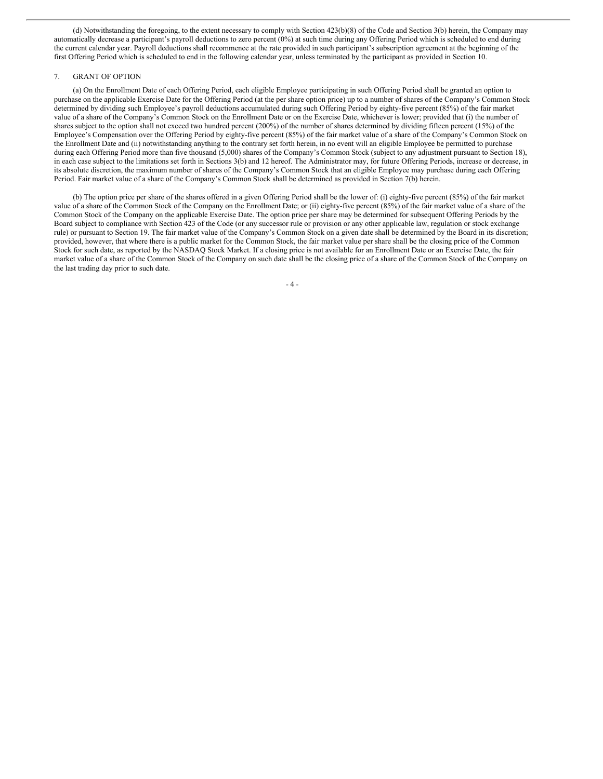(d) Notwithstanding the foregoing, to the extent necessary to comply with Section 423(b)(8) of the Code and Section 3(b) herein, the Company may automatically decrease a participant's payroll deductions to zero percent (0%) at such time during any Offering Period which is scheduled to end during the current calendar year. Payroll deductions shall recommence at the rate provided in such participant's subscription agreement at the beginning of the first Offering Period which is scheduled to end in the following calendar year, unless terminated by the participant as provided in Section 10.

#### 7. GRANT OF OPTION

(a) On the Enrollment Date of each Offering Period, each eligible Employee participating in such Offering Period shall be granted an option to purchase on the applicable Exercise Date for the Offering Period (at the per share option price) up to a number of shares of the Company's Common Stock determined by dividing such Employee's payroll deductions accumulated during such Offering Period by eighty-five percent (85%) of the fair market value of a share of the Company's Common Stock on the Enrollment Date or on the Exercise Date, whichever is lower; provided that (i) the number of shares subject to the option shall not exceed two hundred percent (200%) of the number of shares determined by dividing fifteen percent (15%) of the Employee's Compensation over the Offering Period by eighty-five percent (85%) of the fair market value of a share of the Company's Common Stock on the Enrollment Date and (ii) notwithstanding anything to the contrary set forth herein, in no event will an eligible Employee be permitted to purchase during each Offering Period more than five thousand (5,000) shares of the Company's Common Stock (subject to any adjustment pursuant to Section 18), in each case subject to the limitations set forth in Sections 3(b) and 12 hereof. The Administrator may, for future Offering Periods, increase or decrease, in its absolute discretion, the maximum number of shares of the Company's Common Stock that an eligible Employee may purchase during each Offering Period. Fair market value of a share of the Company's Common Stock shall be determined as provided in Section 7(b) herein.

(b) The option price per share of the shares offered in a given Offering Period shall be the lower of: (i) eighty-five percent (85%) of the fair market value of a share of the Common Stock of the Company on the Enrollment Date; or (ii) eighty-five percent (85%) of the fair market value of a share of the Common Stock of the Company on the applicable Exercise Date. The option price per share may be determined for subsequent Offering Periods by the Board subject to compliance with Section 423 of the Code (or any successor rule or provision or any other applicable law, regulation or stock exchange rule) or pursuant to Section 19. The fair market value of the Company's Common Stock on a given date shall be determined by the Board in its discretion; provided, however, that where there is a public market for the Common Stock, the fair market value per share shall be the closing price of the Common Stock for such date, as reported by the NASDAQ Stock Market. If a closing price is not available for an Enrollment Date or an Exercise Date, the fair market value of a share of the Common Stock of the Company on such date shall be the closing price of a share of the Common Stock of the Company on the last trading day prior to such date.

- 4 -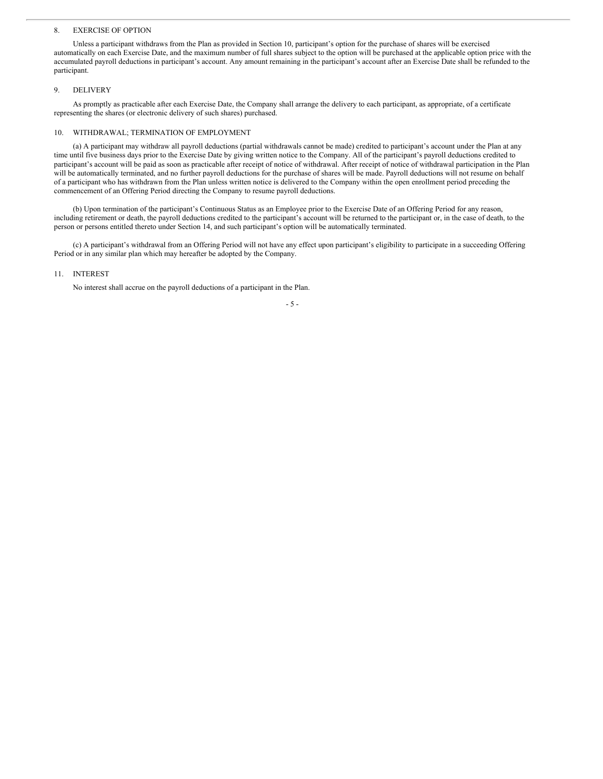#### <span id="page-12-0"></span>8. EXERCISE OF OPTION

Unless a participant withdraws from the Plan as provided in Section 10, participant's option for the purchase of shares will be exercised automatically on each Exercise Date, and the maximum number of full shares subject to the option will be purchased at the applicable option price with the accumulated payroll deductions in participant's account. Any amount remaining in the participant's account after an Exercise Date shall be refunded to the participant.

#### 9. DELIVERY

As promptly as practicable after each Exercise Date, the Company shall arrange the delivery to each participant, as appropriate, of a certificate representing the shares (or electronic delivery of such shares) purchased.

## 10. WITHDRAWAL; TERMINATION OF EMPLOYMENT

(a) A participant may withdraw all payroll deductions (partial withdrawals cannot be made) credited to participant's account under the Plan at any time until five business days prior to the Exercise Date by giving written notice to the Company. All of the participant's payroll deductions credited to participant's account will be paid as soon as practicable after receipt of notice of withdrawal. After receipt of notice of withdrawal participation in the Plan will be automatically terminated, and no further payroll deductions for the purchase of shares will be made. Payroll deductions will not resume on behalf of a participant who has withdrawn from the Plan unless written notice is delivered to the Company within the open enrollment period preceding the commencement of an Offering Period directing the Company to resume payroll deductions.

(b) Upon termination of the participant's Continuous Status as an Employee prior to the Exercise Date of an Offering Period for any reason, including retirement or death, the payroll deductions credited to the participant's account will be returned to the participant or, in the case of death, to the person or persons entitled thereto under Section 14, and such participant's option will be automatically terminated.

(c) A participant's withdrawal from an Offering Period will not have any effect upon participant's eligibility to participate in a succeeding Offering Period or in any similar plan which may hereafter be adopted by the Company.

# 11. INTEREST

No interest shall accrue on the payroll deductions of a participant in the Plan.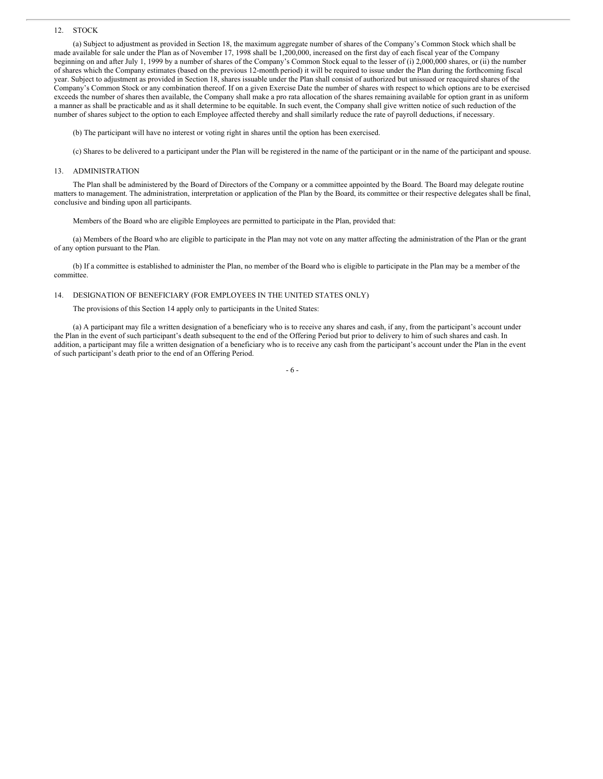#### 12. STOCK

(a) Subject to adjustment as provided in Section 18, the maximum aggregate number of shares of the Company's Common Stock which shall be made available for sale under the Plan as of November 17, 1998 shall be 1,200,000, increased on the first day of each fiscal year of the Company beginning on and after July 1, 1999 by a number of shares of the Company's Common Stock equal to the lesser of (i) 2,000,000 shares, or (ii) the number of shares which the Company estimates (based on the previous 12-month period) it will be required to issue under the Plan during the forthcoming fiscal year. Subject to adjustment as provided in Section 18, shares issuable under the Plan shall consist of authorized but unissued or reacquired shares of the Company's Common Stock or any combination thereof. If on a given Exercise Date the number of shares with respect to which options are to be exercised exceeds the number of shares then available, the Company shall make a pro rata allocation of the shares remaining available for option grant in as uniform a manner as shall be practicable and as it shall determine to be equitable. In such event, the Company shall give written notice of such reduction of the number of shares subject to the option to each Employee affected thereby and shall similarly reduce the rate of payroll deductions, if necessary.

(b) The participant will have no interest or voting right in shares until the option has been exercised.

(c) Shares to be delivered to a participant under the Plan will be registered in the name of the participant or in the name of the participant and spouse.

#### 13. ADMINISTRATION

The Plan shall be administered by the Board of Directors of the Company or a committee appointed by the Board. The Board may delegate routine matters to management. The administration, interpretation or application of the Plan by the Board, its committee or their respective delegates shall be final, conclusive and binding upon all participants.

Members of the Board who are eligible Employees are permitted to participate in the Plan, provided that:

(a) Members of the Board who are eligible to participate in the Plan may not vote on any matter affecting the administration of the Plan or the grant of any option pursuant to the Plan.

(b) If a committee is established to administer the Plan, no member of the Board who is eligible to participate in the Plan may be a member of the committee.

#### 14. DESIGNATION OF BENEFICIARY (FOR EMPLOYEES IN THE UNITED STATES ONLY)

The provisions of this Section 14 apply only to participants in the United States:

(a) A participant may file a written designation of a beneficiary who is to receive any shares and cash, if any, from the participant's account under the Plan in the event of such participant's death subsequent to the end of the Offering Period but prior to delivery to him of such shares and cash. In addition, a participant may file a written designation of a beneficiary who is to receive any cash from the participant's account under the Plan in the event of such participant's death prior to the end of an Offering Period.

#### - 6 -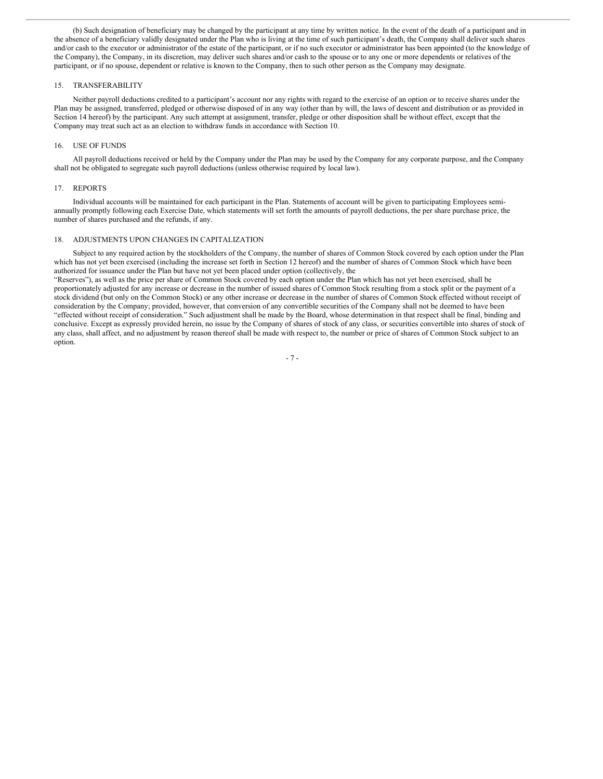(b) Such designation of beneficiary may be changed by the participant at any time by written notice. In the event of the death of a participant and in the absence of a beneficiary validly designated under the Plan who is living at the time of such participant's death, the Company shall deliver such shares and/or cash to the executor or administrator of the estate of the participant, or if no such executor or administrator has been appointed (to the knowledge of the Company), the Company, in its discretion, may deliver such shares and/or cash to the spouse or to any one or more dependents or relatives of the participant, or if no spouse, dependent or relative is known to the Company, then to such other person as the Company may designate.

#### 15. TRANSFERABILITY

Neither payroll deductions credited to a participant's account nor any rights with regard to the exercise of an option or to receive shares under the Plan may be assigned, transferred, pledged or otherwise disposed of in any way (other than by will, the laws of descent and distribution or as provided in Section 14 hereof) by the participant. Any such attempt at assignment, transfer, pledge or other disposition shall be without effect, except that the Company may treat such act as an election to withdraw funds in accordance with Section 10.

#### 16. USE OF FUNDS

All payroll deductions received or held by the Company under the Plan may be used by the Company for any corporate purpose, and the Company shall not be obligated to segregate such payroll deductions (unless otherwise required by local law).

#### 17. REPORTS

Individual accounts will be maintained for each participant in the Plan. Statements of account will be given to participating Employees semiannually promptly following each Exercise Date, which statements will set forth the amounts of payroll deductions, the per share purchase price, the number of shares purchased and the refunds, if any.

## 18. ADJUSTMENTS UPON CHANGES IN CAPITALIZATION

Subject to any required action by the stockholders of the Company, the number of shares of Common Stock covered by each option under the Plan which has not yet been exercised (including the increase set forth in Section 12 hereof) and the number of shares of Common Stock which have been authorized for issuance under the Plan but have not yet been placed under option (collectively, the

"Reserves"), as well as the price per share of Common Stock covered by each option under the Plan which has not yet been exercised, shall be proportionately adjusted for any increase or decrease in the number of issued shares of Common Stock resulting from a stock split or the payment of a stock dividend (but only on the Common Stock) or any other increase or decrease in the number of shares of Common Stock effected without receipt of consideration by the Company; provided, however, that conversion of any convertible securities of the Company shall not be deemed to have been "effected without receipt of consideration." Such adjustment shall be made by the Board, whose determination in that respect shall be final, binding and conclusive. Except as expressly provided herein, no issue by the Company of shares of stock of any class, or securities convertible into shares of stock of any class, shall affect, and no adjustment by reason thereof shall be made with respect to, the number or price of shares of Common Stock subject to an option.

- 7 -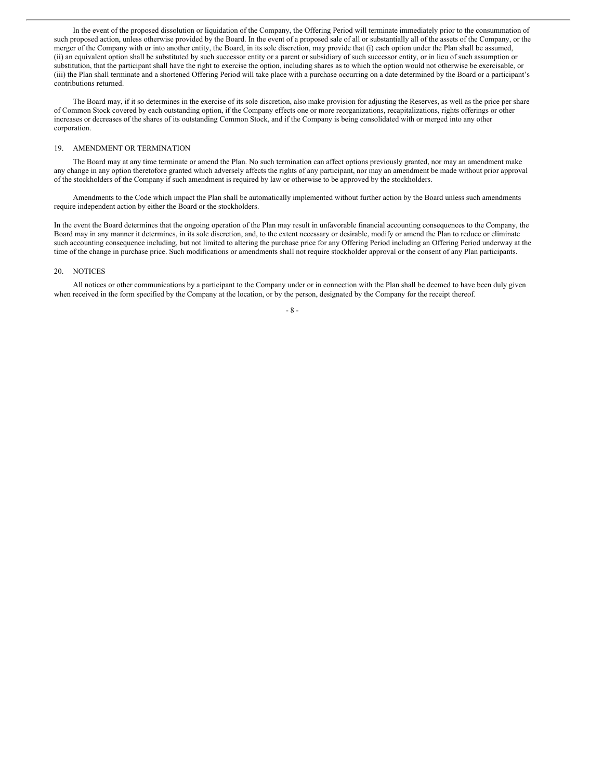In the event of the proposed dissolution or liquidation of the Company, the Offering Period will terminate immediately prior to the consummation of such proposed action, unless otherwise provided by the Board. In the event of a proposed sale of all or substantially all of the assets of the Company, or the merger of the Company with or into another entity, the Board, in its sole discretion, may provide that (i) each option under the Plan shall be assumed, (ii) an equivalent option shall be substituted by such successor entity or a parent or subsidiary of such successor entity, or in lieu of such assumption or substitution, that the participant shall have the right to exercise the option, including shares as to which the option would not otherwise be exercisable, or (iii) the Plan shall terminate and a shortened Offering Period will take place with a purchase occurring on a date determined by the Board or a participant's contributions returned.

The Board may, if it so determines in the exercise of its sole discretion, also make provision for adjusting the Reserves, as well as the price per share of Common Stock covered by each outstanding option, if the Company effects one or more reorganizations, recapitalizations, rights offerings or other increases or decreases of the shares of its outstanding Common Stock, and if the Company is being consolidated with or merged into any other corporation.

#### 19. AMENDMENT OR TERMINATION

The Board may at any time terminate or amend the Plan. No such termination can affect options previously granted, nor may an amendment make any change in any option theretofore granted which adversely affects the rights of any participant, nor may an amendment be made without prior approval of the stockholders of the Company if such amendment is required by law or otherwise to be approved by the stockholders.

Amendments to the Code which impact the Plan shall be automatically implemented without further action by the Board unless such amendments require independent action by either the Board or the stockholders.

In the event the Board determines that the ongoing operation of the Plan may result in unfavorable financial accounting consequences to the Company, the Board may in any manner it determines, in its sole discretion, and, to the extent necessary or desirable, modify or amend the Plan to reduce or eliminate such accounting consequence including, but not limited to altering the purchase price for any Offering Period including an Offering Period underway at the time of the change in purchase price. Such modifications or amendments shall not require stockholder approval or the consent of any Plan participants.

#### 20. NOTICES

All notices or other communications by a participant to the Company under or in connection with the Plan shall be deemed to have been duly given when received in the form specified by the Company at the location, or by the person, designated by the Company for the receipt thereof.

#### - 8 -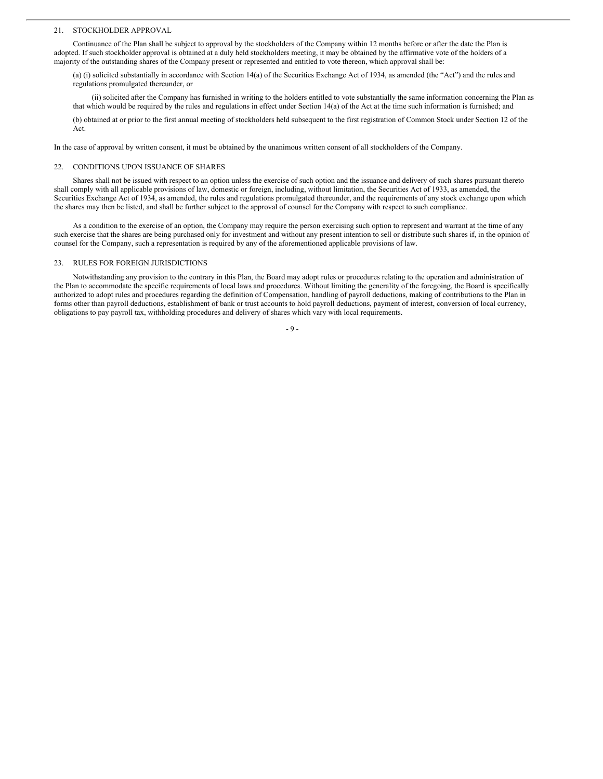#### 21. STOCKHOLDER APPROVAL

Continuance of the Plan shall be subject to approval by the stockholders of the Company within 12 months before or after the date the Plan is adopted. If such stockholder approval is obtained at a duly held stockholders meeting, it may be obtained by the affirmative vote of the holders of a majority of the outstanding shares of the Company present or represented and entitled to vote thereon, which approval shall be:

(a) (i) solicited substantially in accordance with Section 14(a) of the Securities Exchange Act of 1934, as amended (the "Act") and the rules and regulations promulgated thereunder, or

(ii) solicited after the Company has furnished in writing to the holders entitled to vote substantially the same information concerning the Plan as that which would be required by the rules and regulations in effect under Section 14(a) of the Act at the time such information is furnished; and

(b) obtained at or prior to the first annual meeting of stockholders held subsequent to the first registration of Common Stock under Section 12 of the Act.

In the case of approval by written consent, it must be obtained by the unanimous written consent of all stockholders of the Company.

# 22. CONDITIONS UPON ISSUANCE OF SHARES

Shares shall not be issued with respect to an option unless the exercise of such option and the issuance and delivery of such shares pursuant thereto shall comply with all applicable provisions of law, domestic or foreign, including, without limitation, the Securities Act of 1933, as amended, the Securities Exchange Act of 1934, as amended, the rules and regulations promulgated thereunder, and the requirements of any stock exchange upon which the shares may then be listed, and shall be further subject to the approval of counsel for the Company with respect to such compliance.

As a condition to the exercise of an option, the Company may require the person exercising such option to represent and warrant at the time of any such exercise that the shares are being purchased only for investment and without any present intention to sell or distribute such shares if, in the opinion of counsel for the Company, such a representation is required by any of the aforementioned applicable provisions of law.

#### 23. RULES FOR FOREIGN JURISDICTIONS

Notwithstanding any provision to the contrary in this Plan, the Board may adopt rules or procedures relating to the operation and administration of the Plan to accommodate the specific requirements of local laws and procedures. Without limiting the generality of the foregoing, the Board is specifically authorized to adopt rules and procedures regarding the definition of Compensation, handling of payroll deductions, making of contributions to the Plan in forms other than payroll deductions, establishment of bank or trust accounts to hold payroll deductions, payment of interest, conversion of local currency, obligations to pay payroll tax, withholding procedures and delivery of shares which vary with local requirements.

 $-9 -$